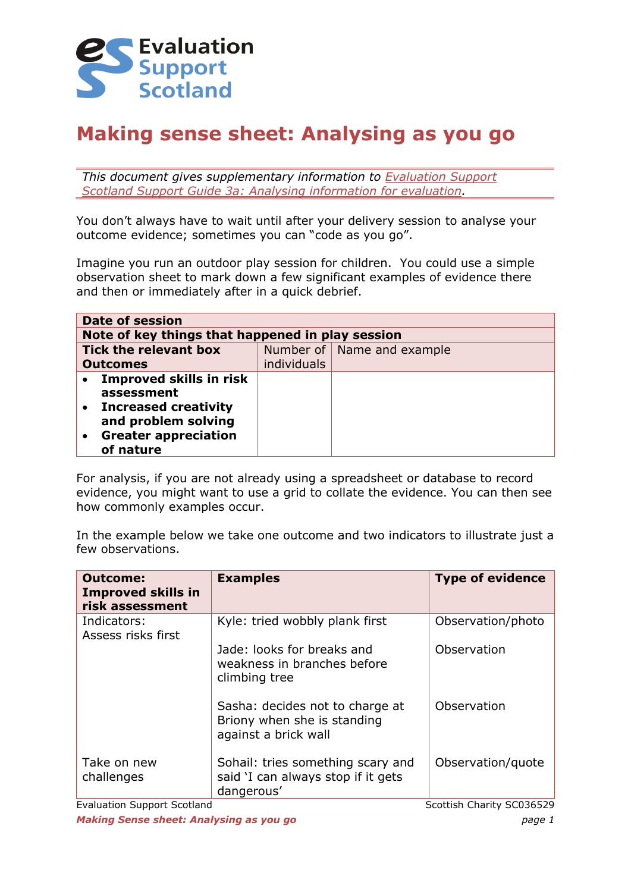

# **Making sense sheet: Analysing as you go**

*This document gives supplementary information to [Evaluation Support](http://evaluationsupportscotland.org.uk/resources/133/)  [Scotland Support Guide 3a: Analysing information for evaluation.](http://evaluationsupportscotland.org.uk/resources/133/)*

You don't always have to wait until after your delivery session to analyse your outcome evidence; sometimes you can "code as you go".

Imagine you run an outdoor play session for children. You could use a simple observation sheet to mark down a few significant examples of evidence there and then or immediately after in a quick debrief.

| <b>Date of session</b>                           |             |                              |  |  |  |
|--------------------------------------------------|-------------|------------------------------|--|--|--|
| Note of key things that happened in play session |             |                              |  |  |  |
| <b>Tick the relevant box</b>                     |             | Number of   Name and example |  |  |  |
| <b>Outcomes</b>                                  | individuals |                              |  |  |  |
| • Improved skills in risk                        |             |                              |  |  |  |
| assessment                                       |             |                              |  |  |  |
| • Increased creativity                           |             |                              |  |  |  |
| and problem solving                              |             |                              |  |  |  |
| <b>Greater appreciation</b>                      |             |                              |  |  |  |
| of nature                                        |             |                              |  |  |  |

For analysis, if you are not already using a spreadsheet or database to record evidence, you might want to use a grid to collate the evidence. You can then see how commonly examples occur.

In the example below we take one outcome and two indicators to illustrate just a few observations.

| <b>Outcome:</b><br><b>Improved skills in</b><br>risk assessment | <b>Examples</b>                                                                        | <b>Type of evidence</b> |
|-----------------------------------------------------------------|----------------------------------------------------------------------------------------|-------------------------|
| Indicators:<br>Assess risks first                               | Kyle: tried wobbly plank first                                                         | Observation/photo       |
|                                                                 | Jade: looks for breaks and<br>weakness in branches before<br>climbing tree             | Observation             |
|                                                                 | Sasha: decides not to charge at<br>Briony when she is standing<br>against a brick wall | Observation             |
| Take on new<br>challenges                                       | Sohail: tries something scary and<br>said 'I can always stop if it gets<br>dangerous'  | Observation/quote       |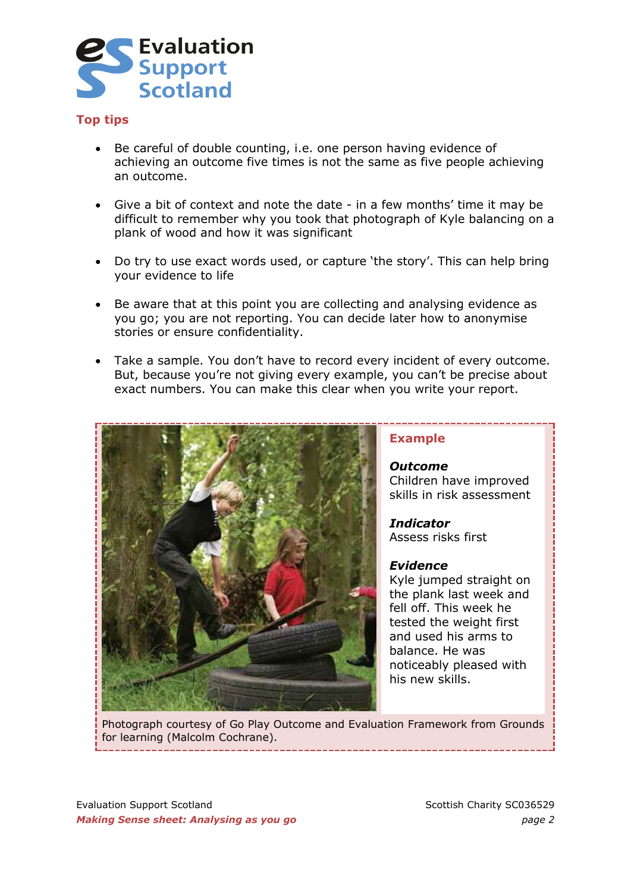

### **Top tips**

- Be careful of double counting, i.e. one person having evidence of achieving an outcome five times is not the same as five people achieving an outcome.
- Give a bit of context and note the date in a few months' time it may be difficult to remember why you took that photograph of Kyle balancing on a plank of wood and how it was significant
- Do try to use exact words used, or capture 'the story'. This can help bring your evidence to life
- Be aware that at this point you are collecting and analysing evidence as you go; you are not reporting. You can decide later how to anonymise stories or ensure confidentiality.
- Take a sample. You don't have to record every incident of every outcome. But, because you're not giving every example, you can't be precise about exact numbers. You can make this clear when you write your report.



#### **Example**

*Outcome* Children have improved skills in risk assessment

*Indicator*  Assess risks first

#### *Evidence*

Kyle jumped straight on the plank last week and fell off. This week he tested the weight first and used his arms to balance. He was noticeably pleased with his new skills.

Photograph courtesy of Go Play Outcome and Evaluation Framework from Grounds for learning (Malcolm Cochrane).

Evaluation Support Scotland Scotland Scottish Charity SC036529 *Making Sense sheet: Analysing as you go page 2*